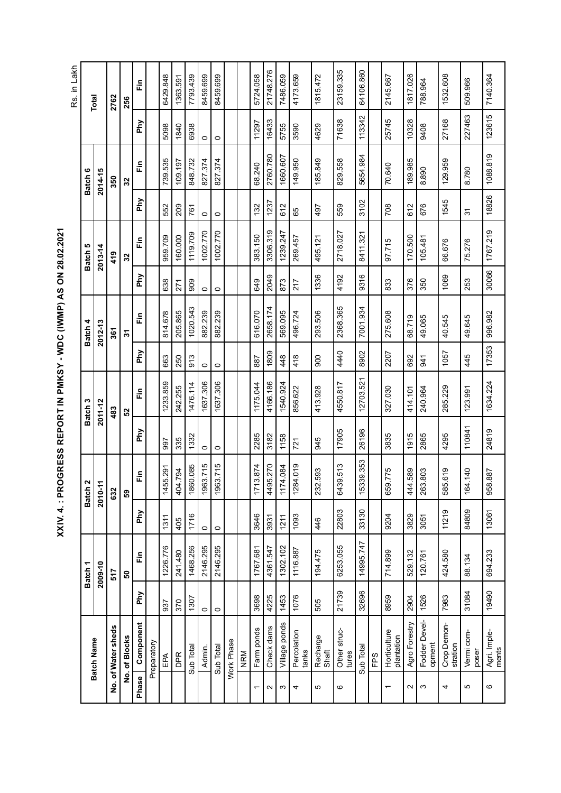**XXIV. 4. : PROGRESS REPORT IN PMKSY - WDC (IWMP) AS ON 28.02.2021**  XXIV. 4. : PROGRESS REPORT IN PMKSY - WDC (IWMP) AS ON 28.02.2021 Rs. in Lakh Rs. in Lakh 21748.276 23159.335 8459.699 64106.860 1363.591 Check dams 4225 4361.547 3931 4495.270 3182 4166.186 1809 2658.174 2049 3306.319 1237 2760.780 16433 21748.276 Other struc- | 21739 | 6253.055 | 22803 | 6439.513 | 17905 | 4440 | 2368.365 | 4192 | 2718.027 | 559 | 829.558<br>tures Sub Total 142696 14995.747 133130 15339.353 12703.521 8902 17001.934 8411.321 13102 1654.984 113342 6429.848 7793.439 8459.699 5724.058 7486.059 4173.659 1815.472 1817.026 1532.608 2145.667 7140.364 EPA 937 1226.776 1311 1455.291 997 1455.859 863 863 863 863 863 8638 8638 959.709 1552 1739.535 15098 16429.848 Sub Total 1307 1468.256 1716 1716 1860.085 1332 1476.114 913 1020.543 1909 1119.709 1648.732 16938 1793.439. Admin. 0 2146.295 0 1963.715 0 1637.306 0 882.239 0 1002.770 0 827.374 0 8459.699 Sub Total 0 10 146.295 12446.295 10 0 1637.1637.715 0 1637.7637.715 10 0 1002.770 0 0 0 02.39.699.699 1 Farm ponds | 1767.681 | 1767.681 | 3646 | 3646 | 37285 | 383.150 | 383.150 | 383.150 | 129 | 1290 | 1729.1058 Village ponds 1453 1302.102 1211 1174.084 1158 1540.924 448 569.095 873 1239.247 612 1660.607 5755 7486.059 1076 1116.887 1093 1284.019 721 856.622 418 496.724 217 269.457 65 149.950 3590 4173.659 505 194.475 446 232.593 945 413.928 900 293.506 1336 495.121 497 185.849 4629 1815.472 8959 714.899 9204 659.775 3835 327.030 2207 275.608 833 97.715 708 70.640 25745 2145.667 2 Agro Forestry 2904 | 529.132 | 529.132 | 444.589 | 1915 | 414.101 | 1816 | 1817.026 | 180.500 | 180.985 | 181 788.964 Crop Demon- | 7983 | 424.580 | 11219 | 585.619 | 4295 | 1057 | 40.545 | 1069 | 66.676 | 1545 | 129.959 | 1532.608<br>stration Agri. Imple- | 19490 | 694.233 | 13061 | 958.887 | 24819 | 1634.224 | 17353 | 30068 | 1767.219 | 18826 | 18826 | 1888.819 | 123615 | 7140.364<br>ments DPR | 241.480 | 405 | 404.794 | 404.794 | 242.255 | 250 | 260.000 | 260 | 271 | 160.000 | 160.000 | 1850.591 |  $\tilde{\tilde{\mathbb{E}}}$ 509.966 Fodder Devel- | 1526 | 120.761 | 3051 | 263.803 | 2865 | 240.964 | 49.065 | 350 | 105.481 | 676 | 8.890 | 9408<br>opment Vermi com- | 31084 | 88.134 | 84809 | 164.140 | 110841 | 123.991 | 445 | 49.645 | 253 | 75.276 | 31 | 8.780 |<br>poser **Phase Component Phy Fin Phy Fin Phy Fin Phy Fin Phy Fin Phy Fin Phy Fin Total** 2762 256 **No. of Water sheds 517 632 483 361 419 350 2762 No. of Blocks 50 59 52 31 32 32 256**  $123615$ 113342 227463 25745 16433 71638 10328 27168 Phy 11297 6938 3590 4629 5098 1840 5755 80408  $\circ$  $\circ$ 1088.819 1660.607 5654.984 2760.780 739.535 109.197 848.732 827.374 827.374 149.950 189.985 185.849 829.558 129.959 Ě 68.240 70.640  $\frac{2014-15}{201}$ 8.890 8.780 Batch 6 **Batch 1 Batch 2 Batch 3 Batch 4 Batch 5 Batch 6 2009-10 2010-11 2011-12 2012-13 2013-14 2014-15**  $\frac{350}{32}$ 18826 Phy 3102 1545 1237 676 209 612 559 708 612 552 132 497 761 65  $\overline{31}$  $\circ$  $\circ$ 3306.319 1767.219 1002.770 1002.770 1239.247 2718.027 8411.321 959.709 160.000 1119.709 383.150 170.500 269.457 495.121 97.715  $\tilde{E}$ 105.481 66.676 75.276 Batch 5  $2013 - 14$ 419  $\overline{32}$ 30066 9316 Phy 2049 1336 4192 1069 217 253 638 806 649 873  $\overline{271}$ 833 376 350  $\circ$  $\circ$ 1020.543 2658.174 2368.365 7001.934 205.865 882.239 882.239 616.070 996.982 814.678 496.724 293.506 275.608 569.095 ίĚ 68.719 49.065 40.545 49.645  $2012 - 13$ Batch 4 361  $\overline{31}$  $17353$ Phy 4440 8902 1809 2207 1057 418 445 913 887 448 900 692 941 663 250  $\circ$  $\circ$ 12703.521 1637.306 1637.306 1233.859 1476.114 1175.044 4166.186 1540.924 4550.817 1634.224 242.255 414.101 123.991 856.622 413.928 327.030 240.964 285.229  $\tilde{\tilde{\mathbf{r}}}$ Batch<sub>3</sub>  $\frac{2011-12}{2}$  $\frac{483}{52}$ 110841 24819 Phy 17905 26196 1332 2285 3182 1158 3835 1915 2865 4295 945 335 721 997  $\circ$  $\circ$ 15339.353 1860.085 1963.715 1963.715 1284.019 6439.513 1455.291 1713.874 4495.270 1174.084 404.794 659.775 444.589 585.619 164.140 232.593 263.803  $\tilde{\tilde{\mathbb{E}}}$ 958.887 Batch<sub>2</sub>  $2010 - 11$ 632 33130 22803 11219 84809 13061 Phy 1716 3646 3931 1093 9204 3829 3051 1311  $1211$ 405 446  $\circ$  $\circ$ 14995.747 6253.055 1226.776 1468.256 2146.295 2146.295 1767.681 4361.547 1302.102 1116.887 714.899 694.233 529.132 194.475 120.761 424.580 241.480  $\tilde{\tilde{L}}$ 88.134  $\frac{2009-10}{2009-10}$ Batch 1 517 50 21739 32696 31084 19490 Phy 4225 1076 8959 1526 7983 3698 1453 2904 1307  $rac{25}{370}$ 505  $\circ$  $\circ$ Fodder Devel-Crop Demon-<br>stration Phase Component Agro Forestry Village ponds Fodder Devel-4 Crop Demon-No. of Water sheds Farm ponds Check dams Percolation<br>tanks Other struc-<br>tures Horticulture<br>plantation Agri. Imple-<br>ments 4 Percolation 1 Horticulture Vermi com- Other struc- Vermi com- Agri. Imple-Recharge<br>Shaft 5 Recharge No. of Blocks Batch Name **Batch Name** Preparatory Work Phase Preparatory Work Phase Admin. Sub Total Sub Total Sub Total poser NRM DPR EPA FPS  $\alpha$  $\sigma$ 4 $\mathfrak{g}$  $\circ$  $\sim$  $\infty$ 4 $\overline{5}$ 6 $\overline{\phantom{0}}$  $\overline{\phantom{0}}$